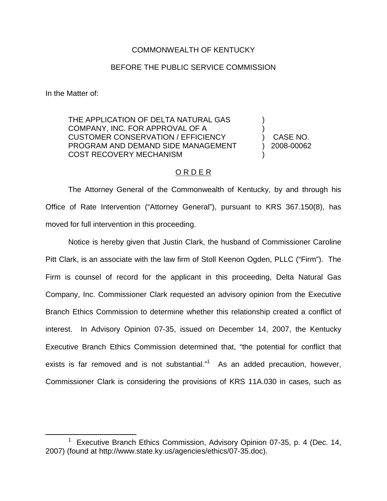## COMMONWEALTH OF KENTUCKY

## BEFORE THE PUBLIC SERVICE COMMISSION

In the Matter of:

THE APPLICATION OF DELTA NATURAL GAS COMPANY, INC. FOR APPROVAL OF A CUSTOMER CONSERVATION / EFFICIENCY PROGRAM AND DEMAND SIDE MANAGEMENT COST RECOVERY MECHANISM

) CASE NO. ) 2008-00062

) )

)

## O R D E R

The Attorney General of the Commonwealth of Kentucky, by and through his Office of Rate Intervention ("Attorney General"), pursuant to KRS 367.150(8), has moved for full intervention in this proceeding.

Notice is hereby given that Justin Clark, the husband of Commissioner Caroline Pitt Clark, is an associate with the law firm of Stoll Keenon Ogden, PLLC ("Firm"). The Firm is counsel of record for the applicant in this proceeding, Delta Natural Gas Company, Inc. Commissioner Clark requested an advisory opinion from the Executive Branch Ethics Commission to determine whether this relationship created a conflict of interest. In Advisory Opinion 07-35, issued on December 14, 2007, the Kentucky Executive Branch Ethics Commission determined that, "the potential for conflict that exists is far removed and is not substantial."<sup>1</sup> As an added precaution, however, Commissioner Clark is considering the provisions of KRS 11A.030 in cases, such as

 $1$  Executive Branch Ethics Commission, Advisory Opinion 07-35, p. 4 (Dec. 14, 2007) (found at http://www.state.ky.us/agencies/ethics/07-35.doc).